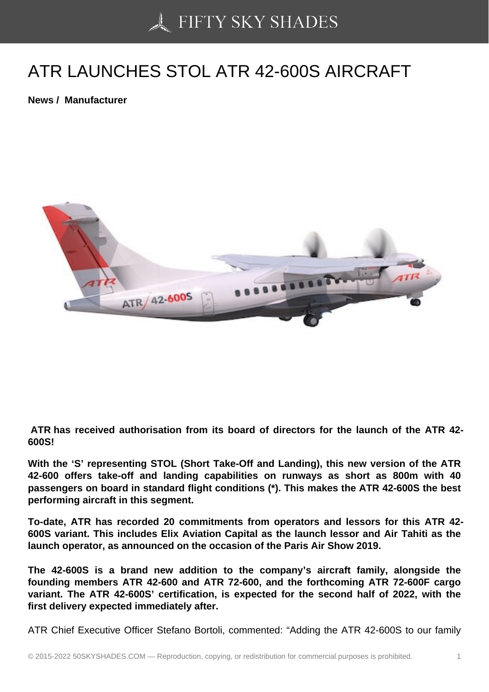## [ATR LAUNCHES STO](https://50skyshades.com)L ATR 42-600S AIRCRAFT

News / Manufacturer

 ATR has received authorisation from its board of directors for the launch of the ATR 42- 600S!

With the 'S' representing STOL (Short Take-Off and Landing), this new version of the ATR 42-600 offers take-off and landing capabilities on runways as short as 800m with 40 passengers on board in standard flight conditions (\*). This makes the ATR 42-600S the best performing aircraft in this segment.

To-date, ATR has recorded 20 commitments from operators and lessors for this ATR 42- 600S variant. This includes Elix Aviation Capital as the launch lessor and Air Tahiti as the launch operator, as announced on the occasion of the Paris Air Show 2019.

The 42-600S is a brand new addition to the company's aircraft family, alongside the founding members ATR 42-600 and ATR 72-600, and the forthcoming ATR 72-600F cargo variant. The ATR 42-600S' certification, is expected for the second half of 2022, with the first delivery expected immediately after.

ATR Chief Executive Officer Stefano Bortoli, commented: "Adding the ATR 42-600S to our family